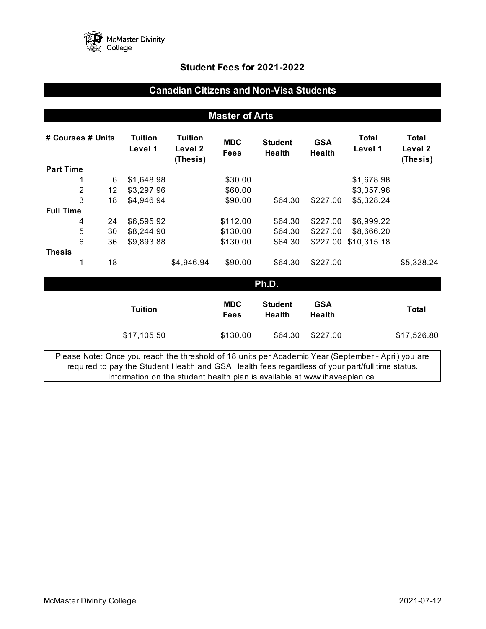

# **Student Fees for 2021-2022**

# **Canadian Citizens and Non-Visa Students**

# **Master of Arts**

| # Courses # Units                                                                                                                                                                                       |   | Tuition<br>Level 1 | <b>Tuition</b><br>Level 2<br>(Thesis) | <b>MDC</b><br><b>Fees</b> | <b>Student</b><br>Health  | <b>GSA</b><br><b>Health</b>     | Total<br>Level 1     | Total<br>Level 2<br>(Thesis) |              |
|---------------------------------------------------------------------------------------------------------------------------------------------------------------------------------------------------------|---|--------------------|---------------------------------------|---------------------------|---------------------------|---------------------------------|----------------------|------------------------------|--------------|
| <b>Part Time</b>                                                                                                                                                                                        |   |                    |                                       |                           |                           |                                 |                      |                              |              |
|                                                                                                                                                                                                         | 1 | 6                  | \$1,648.98                            |                           | \$30.00                   |                                 |                      | \$1,678.98                   |              |
|                                                                                                                                                                                                         | 2 | 12                 | \$3,297.96                            |                           | \$60.00                   |                                 |                      | \$3,357.96                   |              |
|                                                                                                                                                                                                         | 3 | 18                 | \$4,946.94                            |                           | \$90.00                   | \$64.30                         | \$227.00             | \$5,328.24                   |              |
| <b>Full Time</b>                                                                                                                                                                                        |   |                    |                                       |                           |                           |                                 |                      |                              |              |
|                                                                                                                                                                                                         | 4 | 24                 | \$6,595.92                            |                           | \$112.00                  | \$64.30                         | \$227.00             | \$6,999.22                   |              |
|                                                                                                                                                                                                         | 5 | 30                 | \$8,244.90                            |                           | \$130.00                  | \$64.30                         | \$227.00             | \$8,666.20                   |              |
|                                                                                                                                                                                                         | 6 | 36                 | \$9,893.88                            |                           | \$130.00                  | \$64.30                         | \$227.00             | \$10,315.18                  |              |
| <b>Thesis</b>                                                                                                                                                                                           |   |                    |                                       |                           |                           |                                 |                      |                              |              |
|                                                                                                                                                                                                         | 1 | 18                 |                                       | \$4,946.94                | \$90.00                   | \$64.30                         | \$227.00             |                              | \$5,328.24   |
|                                                                                                                                                                                                         |   |                    |                                       |                           |                           | Ph.D.                           |                      |                              |              |
|                                                                                                                                                                                                         |   |                    | <b>Tuition</b>                        |                           | <b>MDC</b><br><b>Fees</b> | <b>Student</b><br><b>Health</b> | <b>GSA</b><br>Health |                              | <b>Total</b> |
|                                                                                                                                                                                                         |   |                    | \$17,105.50                           |                           | \$130.00                  | \$64.30                         | \$227.00             |                              | \$17,526.80  |
| Please Note: Once you reach the threshold of 18 units per Academic Year (September - April) you are<br>required to pay the Student Health and GSA Health fees regardless of your part/full time status. |   |                    |                                       |                           |                           |                                 |                      |                              |              |

Information on the student health plan is available at www.ihaveaplan.ca.